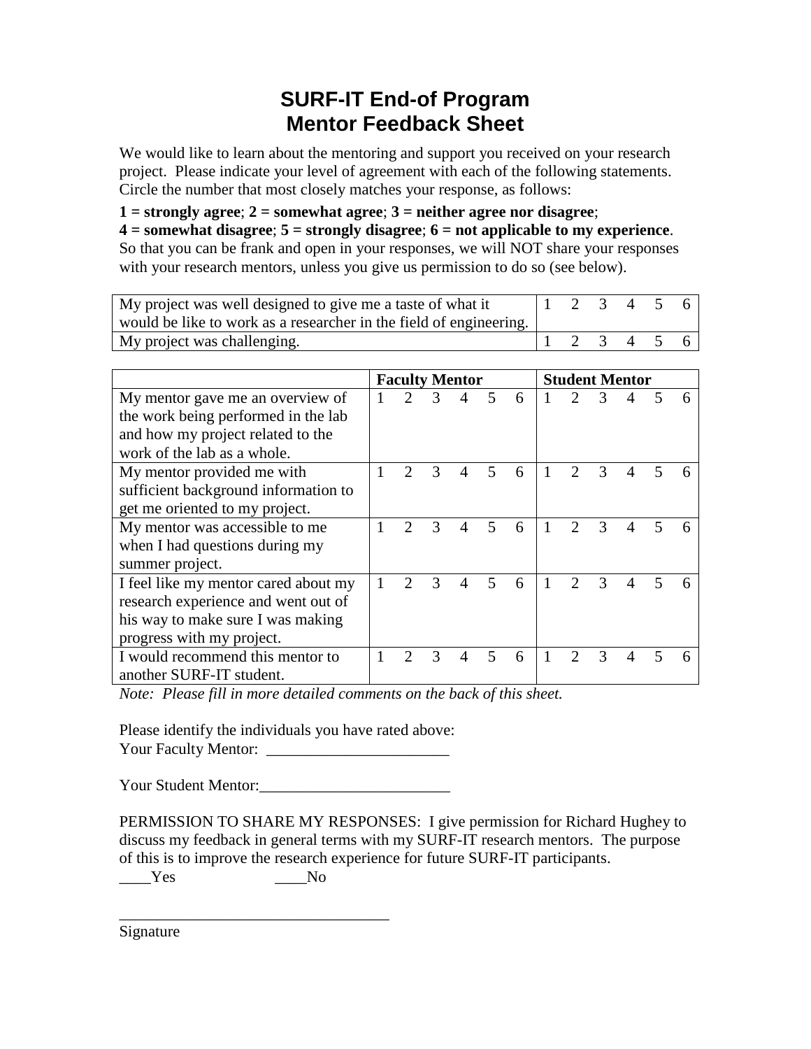## **SURF-IT End-of Program Mentor Feedback Sheet**

We would like to learn about the mentoring and support you received on your research project. Please indicate your level of agreement with each of the following statements. Circle the number that most closely matches your response, as follows:

**1 = strongly agree**; **2 = somewhat agree**; **3 = neither agree nor disagree**; **4 = somewhat disagree**; **5 = strongly disagree**; **6 = not applicable to my experience**.

So that you can be frank and open in your responses, we will NOT share your responses with your research mentors, unless you give us permission to do so (see below).

| My project was well designed to give me a taste of what it         | 123456  |  |  |
|--------------------------------------------------------------------|---------|--|--|
| would be like to work as a researcher in the field of engineering. |         |  |  |
| My project was challenging.                                        | 123456' |  |  |

|                                      | <b>Faculty Mentor</b> |   |   |   |                         | <b>Student Mentor</b> |  |               |               |   |  |  |
|--------------------------------------|-----------------------|---|---|---|-------------------------|-----------------------|--|---------------|---------------|---|--|--|
| My mentor gave me an overview of     |                       |   | 3 |   |                         | 6                     |  |               | 3             |   |  |  |
| the work being performed in the lab  |                       |   |   |   |                         |                       |  |               |               |   |  |  |
| and how my project related to the    |                       |   |   |   |                         |                       |  |               |               |   |  |  |
| work of the lab as a whole.          |                       |   |   |   |                         |                       |  |               |               |   |  |  |
| My mentor provided me with           |                       | 2 | 3 |   |                         | 6                     |  | $\mathcal{D}$ | $\mathcal{R}$ |   |  |  |
| sufficient background information to |                       |   |   |   |                         |                       |  |               |               |   |  |  |
| get me oriented to my project.       |                       |   |   |   |                         |                       |  |               |               |   |  |  |
| My mentor was accessible to me       |                       | 2 | 3 | 4 | $\overline{\mathbf{5}}$ | 6                     |  | $\mathcal{D}$ | $\mathcal{R}$ | 4 |  |  |
| when I had questions during my       |                       |   |   |   |                         |                       |  |               |               |   |  |  |
| summer project.                      |                       |   |   |   |                         |                       |  |               |               |   |  |  |
| I feel like my mentor cared about my |                       |   |   |   |                         | 6                     |  | C             | 3             |   |  |  |
| research experience and went out of  |                       |   |   |   |                         |                       |  |               |               |   |  |  |
| his way to make sure I was making    |                       |   |   |   |                         |                       |  |               |               |   |  |  |
| progress with my project.            |                       |   |   |   |                         |                       |  |               |               |   |  |  |
| I would recommend this mentor to     |                       |   | 3 |   |                         | 6                     |  |               | 3             | 4 |  |  |
| another SURF-IT student.             |                       |   |   |   |                         |                       |  |               |               |   |  |  |

*Note: Please fill in more detailed comments on the back of this sheet.*

Please identify the individuals you have rated above: Your Faculty Mentor: \_\_\_\_\_\_\_\_\_\_\_\_\_\_\_\_\_\_\_\_\_\_\_

Your Student Mentor:

PERMISSION TO SHARE MY RESPONSES: I give permission for Richard Hughey to discuss my feedback in general terms with my SURF-IT research mentors. The purpose of this is to improve the research experience for future SURF-IT participants.

\_\_\_\_Yes \_\_\_\_No

\_\_\_\_\_\_\_\_\_\_\_\_\_\_\_\_\_\_\_\_\_\_\_\_\_\_\_\_\_\_\_\_\_\_

Signature